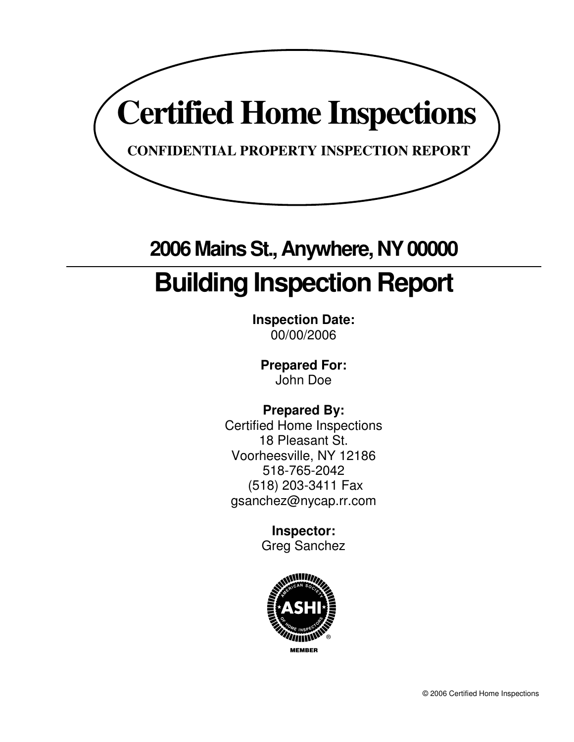

## **2006 Mains St., Anywhere, NY 00000**

# **Building Inspection Report**

**Inspection Date:**  00/00/2006

**Prepared For:**  John Doe

## **Prepared By:**

Certified Home Inspections 18 Pleasant St. Voorheesville, NY 12186 518-765-2042 (518) 203-3411 Fax gsanchez@nycap.rr.com

> **Inspector:**  Greg Sanchez

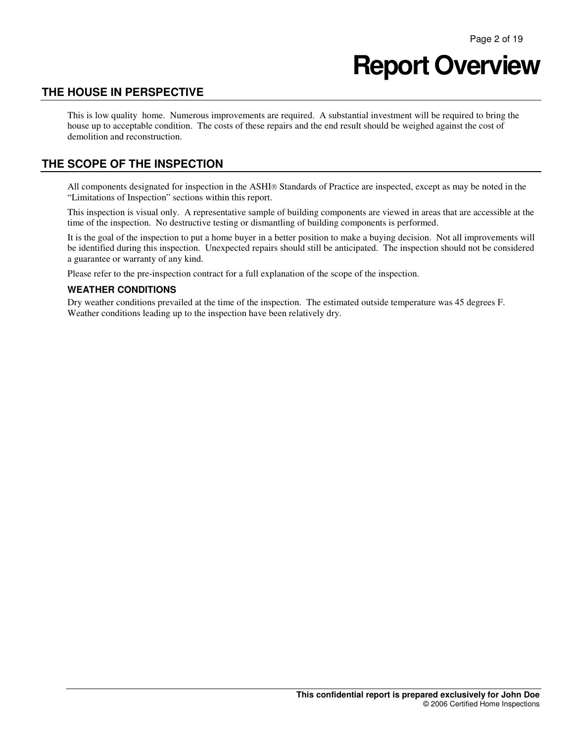# **Report Overview**

## **THE HOUSE IN PERSPECTIVE**

This is low quality home. Numerous improvements are required. A substantial investment will be required to bring the house up to acceptable condition. The costs of these repairs and the end result should be weighed against the cost of demolition and reconstruction.

## **THE SCOPE OF THE INSPECTION**

All components designated for inspection in the ASHI® Standards of Practice are inspected, except as may be noted in the "Limitations of Inspection" sections within this report.

This inspection is visual only. A representative sample of building components are viewed in areas that are accessible at the time of the inspection. No destructive testing or dismantling of building components is performed.

It is the goal of the inspection to put a home buyer in a better position to make a buying decision. Not all improvements will be identified during this inspection. Unexpected repairs should still be anticipated. The inspection should not be considered a guarantee or warranty of any kind.

Please refer to the pre-inspection contract for a full explanation of the scope of the inspection.

#### **WEATHER CONDITIONS**

Dry weather conditions prevailed at the time of the inspection. The estimated outside temperature was 45 degrees F. Weather conditions leading up to the inspection have been relatively dry.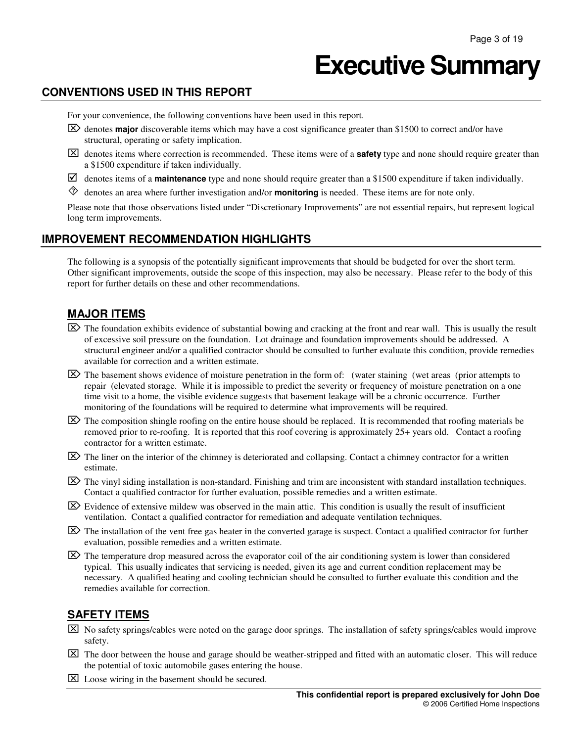# **Executive Summary**

## **CONVENTIONS USED IN THIS REPORT**

For your convenience, the following conventions have been used in this report.

- $\boxtimes$  denotes **major** discoverable items which may have a cost significance greater than \$1500 to correct and/or have structural, operating or safety implication.
- ⌧ denotes items where correction is recommended. These items were of a **safety** type and none should require greater than a \$1500 expenditure if taken individually.
- denotes items of a **maintenance** type and none should require greater than a \$1500 expenditure if taken individually.
- denotes an area where further investigation and/or **monitoring** is needed. These items are for note only.

Please note that those observations listed under "Discretionary Improvements" are not essential repairs, but represent logical long term improvements.

## **IMPROVEMENT RECOMMENDATION HIGHLIGHTS**

The following is a synopsis of the potentially significant improvements that should be budgeted for over the short term. Other significant improvements, outside the scope of this inspection, may also be necessary. Please refer to the body of this report for further details on these and other recommendations.

## **MAJOR ITEMS**

- $\mathbb{Z}$  The foundation exhibits evidence of substantial bowing and cracking at the front and rear wall. This is usually the result of excessive soil pressure on the foundation. Lot drainage and foundation improvements should be addressed. A structural engineer and/or a qualified contractor should be consulted to further evaluate this condition, provide remedies available for correction and a written estimate.
- $\mathbb{Z}$ ) The basement shows evidence of moisture penetration in the form of: (water staining (wet areas (prior attempts to repair (elevated storage. While it is impossible to predict the severity or frequency of moisture penetration on a one time visit to a home, the visible evidence suggests that basement leakage will be a chronic occurrence. Further monitoring of the foundations will be required to determine what improvements will be required.
- $\boxtimes$  The composition shingle roofing on the entire house should be replaced. It is recommended that roofing materials be removed prior to re-roofing. It is reported that this roof covering is approximately 25+ years old. Contact a roofing contractor for a written estimate.
- $\boxtimes$  The liner on the interior of the chimney is deteriorated and collapsing. Contact a chimney contractor for a written estimate.
- $\mathbb{Z}$  The vinyl siding installation is non-standard. Finishing and trim are inconsistent with standard installation techniques. Contact a qualified contractor for further evaluation, possible remedies and a written estimate.
- $\boxtimes$  Evidence of extensive mildew was observed in the main attic. This condition is usually the result of insufficient ventilation. Contact a qualified contractor for remediation and adequate ventilation techniques.
- $\boxtimes$  The installation of the vent free gas heater in the converted garage is suspect. Contact a qualified contractor for further evaluation, possible remedies and a written estimate.
- $\mathbb{Z}$  The temperature drop measured across the evaporator coil of the air conditioning system is lower than considered typical. This usually indicates that servicing is needed, given its age and current condition replacement may be necessary. A qualified heating and cooling technician should be consulted to further evaluate this condition and the remedies available for correction.

## **SAFETY ITEMS**

- $\boxtimes$  No safety springs/cables were noted on the garage door springs. The installation of safety springs/cables would improve safety.
- $\boxtimes$  The door between the house and garage should be weather-stripped and fitted with an automatic closer. This will reduce the potential of toxic automobile gases entering the house.
- ⌧ Loose wiring in the basement should be secured.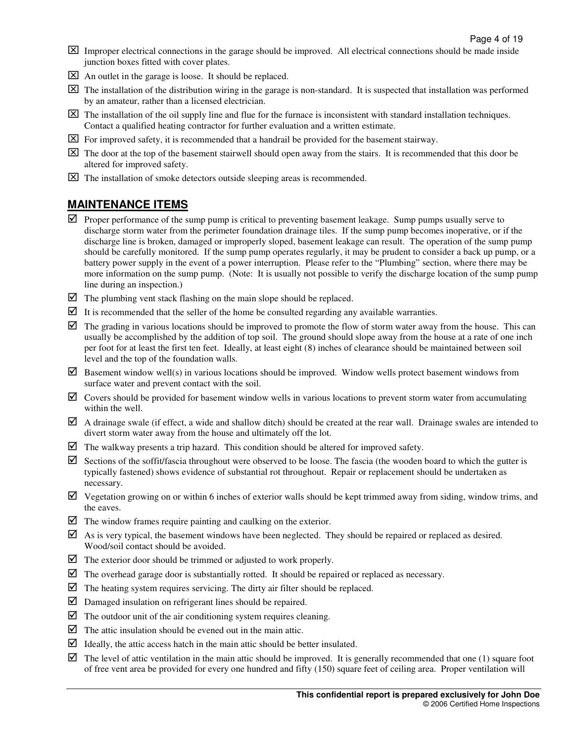- $[\times]$  Improper electrical connections in the garage should be improved. All electrical connections should be made inside junction boxes fitted with cover plates.
- ⌧ An outlet in the garage is loose. It should be replaced.
- $\boxtimes$  The installation of the distribution wiring in the garage is non-standard. It is suspected that installation was performed by an amateur, rather than a licensed electrician.
- $\boxtimes$  The installation of the oil supply line and flue for the furnace is inconsistent with standard installation techniques. Contact a qualified heating contractor for further evaluation and a written estimate.
- $\boxtimes$  For improved safety, it is recommended that a handrail be provided for the basement stairway.
- $\boxtimes$  The door at the top of the basement stairwell should open away from the stairs. It is recommended that this door be altered for improved safety.
- ⌧ The installation of smoke detectors outside sleeping areas is recommended.

## **MAINTENANCE ITEMS**

- $\mathbf{\nabla}$  Proper performance of the sump pump is critical to preventing basement leakage. Sump pumps usually serve to discharge storm water from the perimeter foundation drainage tiles. If the sump pump becomes inoperative, or if the discharge line is broken, damaged or improperly sloped, basement leakage can result. The operation of the sump pump should be carefully monitored. If the sump pump operates regularly, it may be prudent to consider a back up pump, or a battery power supply in the event of a power interruption. Please refer to the "Plumbing" section, where there may be more information on the sump pump. (Note: It is usually not possible to verify the discharge location of the sump pump line during an inspection.)
- $\triangledown$  The plumbing vent stack flashing on the main slope should be replaced.
- $\triangledown$  It is recommended that the seller of the home be consulted regarding any available warranties.
- $\boxtimes$  The grading in various locations should be improved to promote the flow of storm water away from the house. This can usually be accomplished by the addition of top soil. The ground should slope away from the house at a rate of one inch per foot for at least the first ten feet. Ideally, at least eight (8) inches of clearance should be maintained between soil level and the top of the foundation walls.
- $\boxtimes$  Basement window well(s) in various locations should be improved. Window wells protect basement windows from surface water and prevent contact with the soil.
- $\boxtimes$  Covers should be provided for basement window wells in various locations to prevent storm water from accumulating within the well.
- $\boxtimes$  A drainage swale (if effect, a wide and shallow ditch) should be created at the rear wall. Drainage swales are intended to divert storm water away from the house and ultimately off the lot.
- $\boxtimes$  The walkway presents a trip hazard. This condition should be altered for improved safety.
- $\boxtimes$  Sections of the soffit/fascia throughout were observed to be loose. The fascia (the wooden board to which the gutter is typically fastened) shows evidence of substantial rot throughout. Repair or replacement should be undertaken as necessary.
- $\boxtimes$  Vegetation growing on or within 6 inches of exterior walls should be kept trimmed away from siding, window trims, and the eaves.
- $\triangleright$  The window frames require painting and caulking on the exterior.
- $\boxtimes$  As is very typical, the basement windows have been neglected. They should be repaired or replaced as desired. Wood/soil contact should be avoided.
- $\triangleright$  The exterior door should be trimmed or adjusted to work properly.
- $\boxtimes$  The overhead garage door is substantially rotted. It should be repaired or replaced as necessary.
- $\boxtimes$  The heating system requires servicing. The dirty air filter should be replaced.
- Damaged insulation on refrigerant lines should be repaired.
- $\triangledown$  The outdoor unit of the air conditioning system requires cleaning.
- $\triangleright$  The attic insulation should be evened out in the main attic.
- $\triangleright$  Ideally, the attic access hatch in the main attic should be better insulated.
- $\triangledown$  The level of attic ventilation in the main attic should be improved. It is generally recommended that one (1) square foot of free vent area be provided for every one hundred and fifty (150) square feet of ceiling area. Proper ventilation will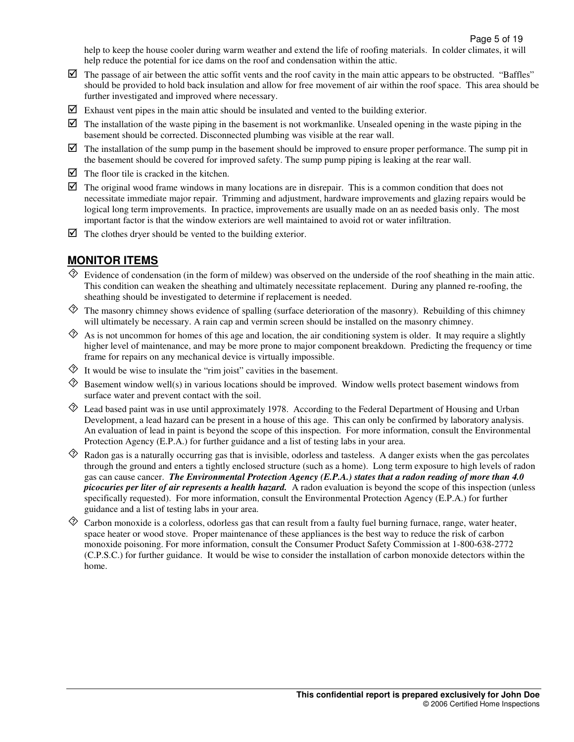help to keep the house cooler during warm weather and extend the life of roofing materials. In colder climates, it will help reduce the potential for ice dams on the roof and condensation within the attic.

- $\triangledown$  The passage of air between the attic soffit vents and the roof cavity in the main attic appears to be obstructed. "Baffles" should be provided to hold back insulation and allow for free movement of air within the roof space. This area should be further investigated and improved where necessary.
- Exhaust vent pipes in the main attic should be insulated and vented to the building exterior.
- $\boxtimes$  The installation of the waste piping in the basement is not workmanlike. Unsealed opening in the waste piping in the basement should be corrected. Disconnected plumbing was visible at the rear wall.
- $\boxtimes$  The installation of the sump pump in the basement should be improved to ensure proper performance. The sump pit in the basement should be covered for improved safety. The sump pump piping is leaking at the rear wall.
- $\triangleright$  The floor tile is cracked in the kitchen.
- $\boxtimes$  The original wood frame windows in many locations are in disrepair. This is a common condition that does not necessitate immediate major repair. Trimming and adjustment, hardware improvements and glazing repairs would be logical long term improvements. In practice, improvements are usually made on an as needed basis only. The most important factor is that the window exteriors are well maintained to avoid rot or water infiltration.
- $\Box$  The clothes dryer should be vented to the building exterior.

## **MONITOR ITEMS**

- $\Diamond$  Evidence of condensation (in the form of mildew) was observed on the underside of the roof sheathing in the main attic. This condition can weaken the sheathing and ultimately necessitate replacement. During any planned re-roofing, the sheathing should be investigated to determine if replacement is needed.
- $\Diamond$  The masonry chimney shows evidence of spalling (surface deterioration of the masonry). Rebuilding of this chimney will ultimately be necessary. A rain cap and vermin screen should be installed on the masonry chimney.
- $\Diamond$  As is not uncommon for homes of this age and location, the air conditioning system is older. It may require a slightly higher level of maintenance, and may be more prone to major component breakdown. Predicting the frequency or time frame for repairs on any mechanical device is virtually impossible.
- $\Diamond$  It would be wise to insulate the "rim joist" cavities in the basement.
- $\Diamond$  Basement window well(s) in various locations should be improved. Window wells protect basement windows from surface water and prevent contact with the soil.
- Lead based paint was in use until approximately 1978. According to the Federal Department of Housing and Urban Development, a lead hazard can be present in a house of this age. This can only be confirmed by laboratory analysis. An evaluation of lead in paint is beyond the scope of this inspection. For more information, consult the Environmental Protection Agency (E.P.A.) for further guidance and a list of testing labs in your area.
- $\otimes$  Radon gas is a naturally occurring gas that is invisible, odorless and tasteless. A danger exists when the gas percolates through the ground and enters a tightly enclosed structure (such as a home). Long term exposure to high levels of radon gas can cause cancer. *The Environmental Protection Agency (E.P.A.) states that a radon reading of more than 4.0 picocuries per liter of air represents a health hazard.* A radon evaluation is beyond the scope of this inspection (unless specifically requested). For more information, consult the Environmental Protection Agency (E.P.A.) for further guidance and a list of testing labs in your area.
- $\Diamond$  Carbon monoxide is a colorless, odorless gas that can result from a faulty fuel burning furnace, range, water heater, space heater or wood stove. Proper maintenance of these appliances is the best way to reduce the risk of carbon monoxide poisoning. For more information, consult the Consumer Product Safety Commission at 1-800-638-2772 (C.P.S.C.) for further guidance. It would be wise to consider the installation of carbon monoxide detectors within the home.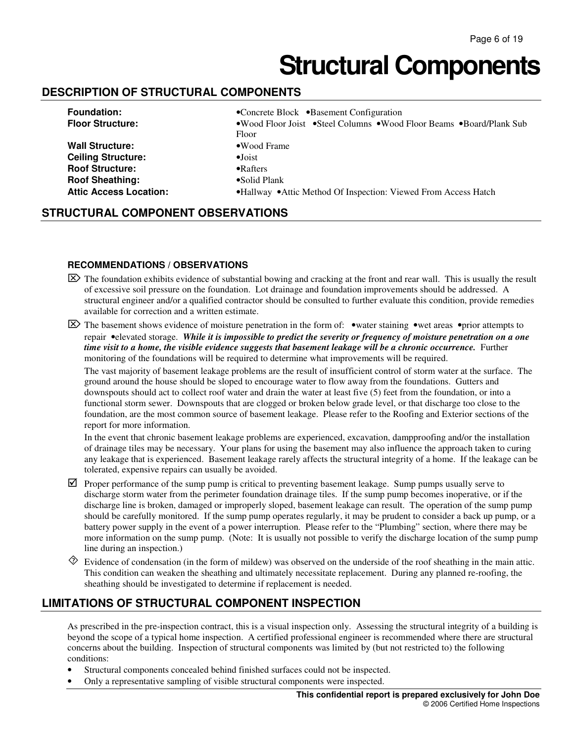# **Structural Components**

### **DESCRIPTION OF STRUCTURAL COMPONENTS**

| <b>Foundation:</b>            | •Concrete Block •Basement Configuration                             |
|-------------------------------|---------------------------------------------------------------------|
| <b>Floor Structure:</b>       | •Wood Floor Joist •Steel Columns •Wood Floor Beams •Board/Plank Sub |
|                               | Floor                                                               |
| <b>Wall Structure:</b>        | •Wood Frame                                                         |
| <b>Ceiling Structure:</b>     | $\bullet$ Joist                                                     |
| <b>Roof Structure:</b>        | $\bullet$ Rafters                                                   |
| <b>Roof Sheathing:</b>        | $\bullet$ Solid Plank                                               |
| <b>Attic Access Location:</b> | • Hallway • Attic Method Of Inspection: Viewed From Access Hatch    |
|                               |                                                                     |

## **STRUCTURAL COMPONENT OBSERVATIONS**

#### **RECOMMENDATIONS / OBSERVATIONS**

- $\mathbb{Z}$  The foundation exhibits evidence of substantial bowing and cracking at the front and rear wall. This is usually the result of excessive soil pressure on the foundation. Lot drainage and foundation improvements should be addressed. A structural engineer and/or a qualified contractor should be consulted to further evaluate this condition, provide remedies available for correction and a written estimate.
- ⌦ The basement shows evidence of moisture penetration in the form of: •water staining •wet areas •prior attempts to repair •elevated storage. *While it is impossible to predict the severity or frequency of moisture penetration on a one time visit to a home, the visible evidence suggests that basement leakage will be a chronic occurrence.* Further monitoring of the foundations will be required to determine what improvements will be required.

The vast majority of basement leakage problems are the result of insufficient control of storm water at the surface. The ground around the house should be sloped to encourage water to flow away from the foundations. Gutters and downspouts should act to collect roof water and drain the water at least five (5) feet from the foundation, or into a functional storm sewer. Downspouts that are clogged or broken below grade level, or that discharge too close to the foundation, are the most common source of basement leakage. Please refer to the Roofing and Exterior sections of the report for more information.

In the event that chronic basement leakage problems are experienced, excavation, dampproofing and/or the installation of drainage tiles may be necessary. Your plans for using the basement may also influence the approach taken to curing any leakage that is experienced. Basement leakage rarely affects the structural integrity of a home. If the leakage can be tolerated, expensive repairs can usually be avoided.

- $\boxtimes$  Proper performance of the sump pump is critical to preventing basement leakage. Sump pumps usually serve to discharge storm water from the perimeter foundation drainage tiles. If the sump pump becomes inoperative, or if the discharge line is broken, damaged or improperly sloped, basement leakage can result. The operation of the sump pump should be carefully monitored. If the sump pump operates regularly, it may be prudent to consider a back up pump, or a battery power supply in the event of a power interruption. Please refer to the "Plumbing" section, where there may be more information on the sump pump. (Note: It is usually not possible to verify the discharge location of the sump pump line during an inspection.)
- $\Diamond$  Evidence of condensation (in the form of mildew) was observed on the underside of the roof sheathing in the main attic. This condition can weaken the sheathing and ultimately necessitate replacement. During any planned re-roofing, the sheathing should be investigated to determine if replacement is needed.

## **LIMITATIONS OF STRUCTURAL COMPONENT INSPECTION**

As prescribed in the pre-inspection contract, this is a visual inspection only. Assessing the structural integrity of a building is beyond the scope of a typical home inspection. A certified professional engineer is recommended where there are structural concerns about the building. Inspection of structural components was limited by (but not restricted to) the following conditions:

- Structural components concealed behind finished surfaces could not be inspected.
- Only a representative sampling of visible structural components were inspected.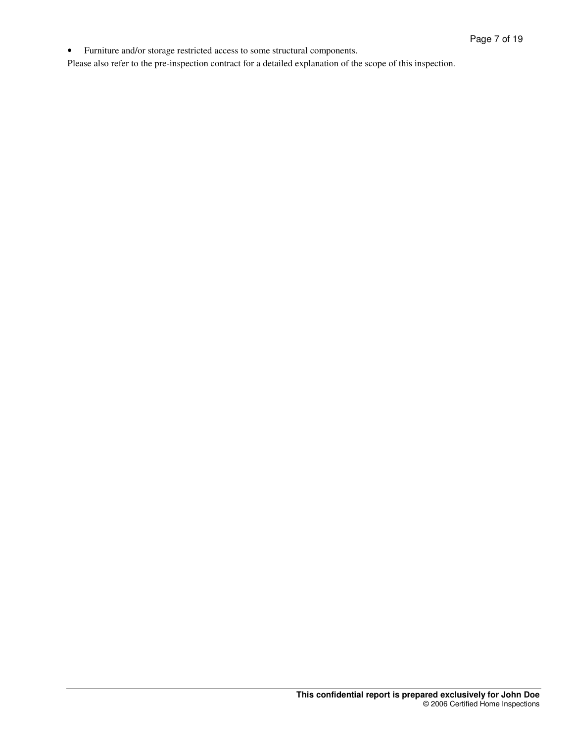• Furniture and/or storage restricted access to some structural components.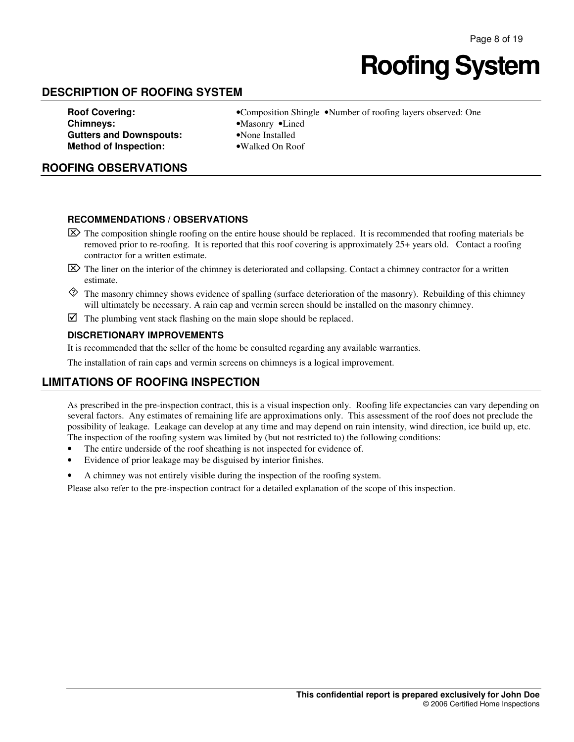# **Roofing System**

## **DESCRIPTION OF ROOFING SYSTEM**

| <b>Roof Covering:</b>          |  |
|--------------------------------|--|
| <b>Chimneys:</b>               |  |
| <b>Gutters and Downspouts:</b> |  |
| <b>Method of Inspection:</b>   |  |

•Composition Shingle •Number of roofing layers observed: One •Masonry •Lined •None Installed **Method of Inspection:** •Walked On Roof

### **ROOFING OBSERVATIONS**

### **RECOMMENDATIONS / OBSERVATIONS**

- $\boxtimes$  The composition shingle roofing on the entire house should be replaced. It is recommended that roofing materials be removed prior to re-roofing. It is reported that this roof covering is approximately 25+ years old. Contact a roofing contractor for a written estimate.
- $\boxtimes$  The liner on the interior of the chimney is deteriorated and collapsing. Contact a chimney contractor for a written estimate.
- $\Diamond$  The masonry chimney shows evidence of spalling (surface deterioration of the masonry). Rebuilding of this chimney will ultimately be necessary. A rain cap and vermin screen should be installed on the masonry chimney.
- $\triangledown$  The plumbing vent stack flashing on the main slope should be replaced.

#### **DISCRETIONARY IMPROVEMENTS**

It is recommended that the seller of the home be consulted regarding any available warranties.

The installation of rain caps and vermin screens on chimneys is a logical improvement.

## **LIMITATIONS OF ROOFING INSPECTION**

As prescribed in the pre-inspection contract, this is a visual inspection only. Roofing life expectancies can vary depending on several factors. Any estimates of remaining life are approximations only. This assessment of the roof does not preclude the possibility of leakage. Leakage can develop at any time and may depend on rain intensity, wind direction, ice build up, etc. The inspection of the roofing system was limited by (but not restricted to) the following conditions:

- The entire underside of the roof sheathing is not inspected for evidence of.
- Evidence of prior leakage may be disguised by interior finishes.
- A chimney was not entirely visible during the inspection of the roofing system.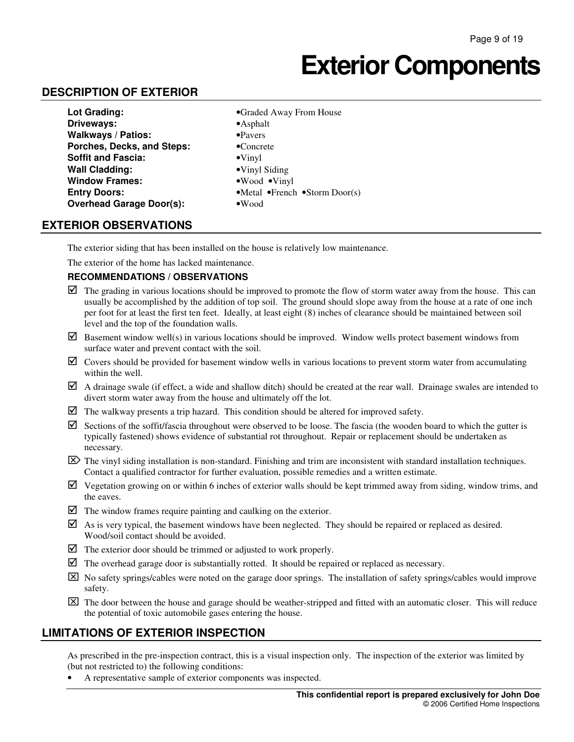# **Exterior Components**

## **DESCRIPTION OF EXTERIOR**

| Lot Grading:                    | •Graded Away From House                                  |
|---------------------------------|----------------------------------------------------------|
| Driveways:                      | $\bullet$ Asphalt                                        |
| <b>Walkways / Patios:</b>       | $\bullet$ Pavers                                         |
| Porches, Decks, and Steps:      | $\bullet$ Concrete                                       |
| <b>Soffit and Fascia:</b>       | $\bullet$ Vinyl                                          |
| <b>Wall Cladding:</b>           | •Vinyl Siding                                            |
| <b>Window Frames:</b>           | •Wood •Vinyl                                             |
| <b>Entry Doors:</b>             | $\bullet$ Metal $\bullet$ French $\bullet$ Storm Door(s) |
| <b>Overhead Garage Door(s):</b> | $\bullet$ Wood                                           |

## **EXTERIOR OBSERVATIONS**

The exterior siding that has been installed on the house is relatively low maintenance.

The exterior of the home has lacked maintenance.

#### **RECOMMENDATIONS / OBSERVATIONS**

- $\triangleright$  The grading in various locations should be improved to promote the flow of storm water away from the house. This can usually be accomplished by the addition of top soil. The ground should slope away from the house at a rate of one inch per foot for at least the first ten feet. Ideally, at least eight (8) inches of clearance should be maintained between soil level and the top of the foundation walls.
- $\boxtimes$  Basement window well(s) in various locations should be improved. Window wells protect basement windows from surface water and prevent contact with the soil.
- $\boxtimes$  Covers should be provided for basement window wells in various locations to prevent storm water from accumulating within the well.
- $\boxtimes$  A drainage swale (if effect, a wide and shallow ditch) should be created at the rear wall. Drainage swales are intended to divert storm water away from the house and ultimately off the lot.
- $\boxtimes$  The walkway presents a trip hazard. This condition should be altered for improved safety.
- $\boxtimes$  Sections of the soffit/fascia throughout were observed to be loose. The fascia (the wooden board to which the gutter is typically fastened) shows evidence of substantial rot throughout. Repair or replacement should be undertaken as necessary.
- $\boxtimes$  The vinyl siding installation is non-standard. Finishing and trim are inconsistent with standard installation techniques. Contact a qualified contractor for further evaluation, possible remedies and a written estimate.
- $\boxtimes$  Vegetation growing on or within 6 inches of exterior walls should be kept trimmed away from siding, window trims, and the eaves.
- $\triangleright$  The window frames require painting and caulking on the exterior.
- $\boxtimes$  As is very typical, the basement windows have been neglected. They should be repaired or replaced as desired. Wood/soil contact should be avoided.
- $\Box$  The exterior door should be trimmed or adjusted to work properly.
- $\triangledown$  The overhead garage door is substantially rotted. It should be repaired or replaced as necessary.
- $\boxtimes$  No safety springs/cables were noted on the garage door springs. The installation of safety springs/cables would improve safety.
- $\boxtimes$  The door between the house and garage should be weather-stripped and fitted with an automatic closer. This will reduce the potential of toxic automobile gases entering the house.

### **LIMITATIONS OF EXTERIOR INSPECTION**

As prescribed in the pre-inspection contract, this is a visual inspection only. The inspection of the exterior was limited by (but not restricted to) the following conditions:

• A representative sample of exterior components was inspected.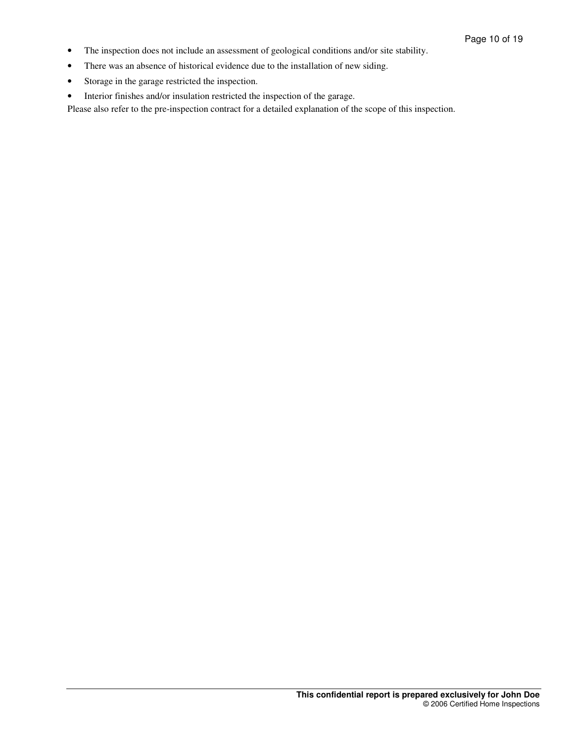- The inspection does not include an assessment of geological conditions and/or site stability.
- There was an absence of historical evidence due to the installation of new siding.
- Storage in the garage restricted the inspection.
- Interior finishes and/or insulation restricted the inspection of the garage.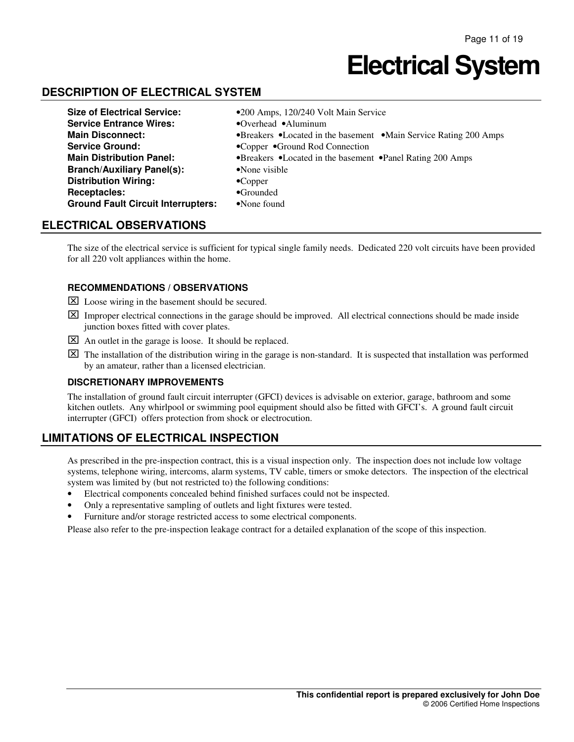# **Electrical System**

## **DESCRIPTION OF ELECTRICAL SYSTEM**

| <b>Size of Electrical Service:</b>        | •200 Amps, 120/240 Volt Main Service                             |  |
|-------------------------------------------|------------------------------------------------------------------|--|
| <b>Service Entrance Wires:</b>            | •Overhead •Aluminum                                              |  |
| <b>Main Disconnect:</b>                   | •Breakers •Located in the basement •Main Service Rating 200 Amps |  |
| <b>Service Ground:</b>                    | •Copper •Ground Rod Connection                                   |  |
| <b>Main Distribution Panel:</b>           | •Breakers •Located in the basement •Panel Rating 200 Amps        |  |
| <b>Branch/Auxiliary Panel(s):</b>         | $\bullet$ None visible                                           |  |
| <b>Distribution Wiring:</b>               | $\bullet$ Copper                                                 |  |
| <b>Receptacles:</b>                       | $\bullet$ Grounded                                               |  |
| <b>Ground Fault Circuit Interrupters:</b> | $\bullet$ None found                                             |  |

## **ELECTRICAL OBSERVATIONS**

The size of the electrical service is sufficient for typical single family needs. Dedicated 220 volt circuits have been provided for all 220 volt appliances within the home.

#### **RECOMMENDATIONS / OBSERVATIONS**

- ⌧ Loose wiring in the basement should be secured.
- $\boxtimes$  Improper electrical connections in the garage should be improved. All electrical connections should be made inside junction boxes fitted with cover plates.
- ⌧ An outlet in the garage is loose. It should be replaced.
- $\boxtimes$  The installation of the distribution wiring in the garage is non-standard. It is suspected that installation was performed by an amateur, rather than a licensed electrician.

#### **DISCRETIONARY IMPROVEMENTS**

The installation of ground fault circuit interrupter (GFCI) devices is advisable on exterior, garage, bathroom and some kitchen outlets. Any whirlpool or swimming pool equipment should also be fitted with GFCI's. A ground fault circuit interrupter (GFCI) offers protection from shock or electrocution.

## **LIMITATIONS OF ELECTRICAL INSPECTION**

As prescribed in the pre-inspection contract, this is a visual inspection only. The inspection does not include low voltage systems, telephone wiring, intercoms, alarm systems, TV cable, timers or smoke detectors. The inspection of the electrical system was limited by (but not restricted to) the following conditions:

- Electrical components concealed behind finished surfaces could not be inspected.
- Only a representative sampling of outlets and light fixtures were tested.
- Furniture and/or storage restricted access to some electrical components.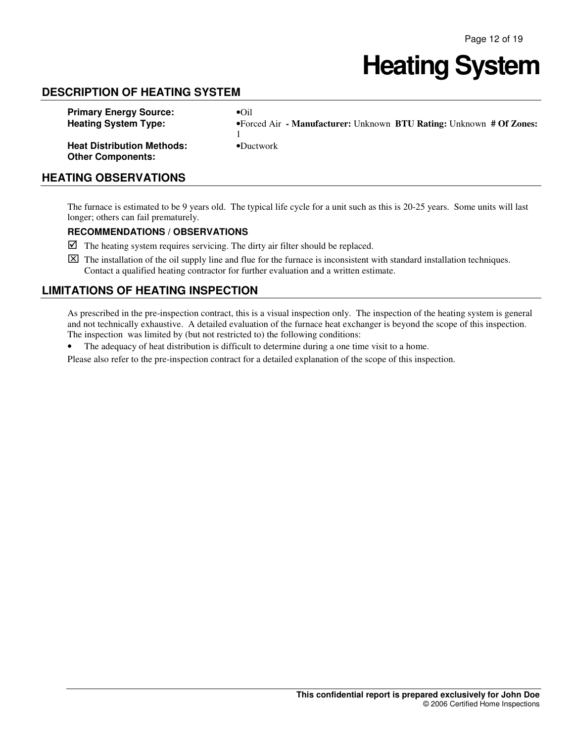# **Heating System**

## **DESCRIPTION OF HEATING SYSTEM**

| <b>Primary Energy Source:</b>                                 | $\bullet$ Oil                                                        |
|---------------------------------------------------------------|----------------------------------------------------------------------|
| <b>Heating System Type:</b>                                   | • Forced Air - Manufacturer: Unknown BTU Rating: Unknown # Of Zones: |
| <b>Heat Distribution Methods:</b><br><b>Other Components:</b> | $\bullet$ Ductwork                                                   |

## **HEATING OBSERVATIONS**

The furnace is estimated to be 9 years old. The typical life cycle for a unit such as this is 20-25 years. Some units will last longer; others can fail prematurely.

### **RECOMMENDATIONS / OBSERVATIONS**

- $\triangledown$  The heating system requires servicing. The dirty air filter should be replaced.
- $\boxtimes$  The installation of the oil supply line and flue for the furnace is inconsistent with standard installation techniques. Contact a qualified heating contractor for further evaluation and a written estimate.

## **LIMITATIONS OF HEATING INSPECTION**

As prescribed in the pre-inspection contract, this is a visual inspection only. The inspection of the heating system is general and not technically exhaustive. A detailed evaluation of the furnace heat exchanger is beyond the scope of this inspection. The inspection was limited by (but not restricted to) the following conditions:

• The adequacy of heat distribution is difficult to determine during a one time visit to a home.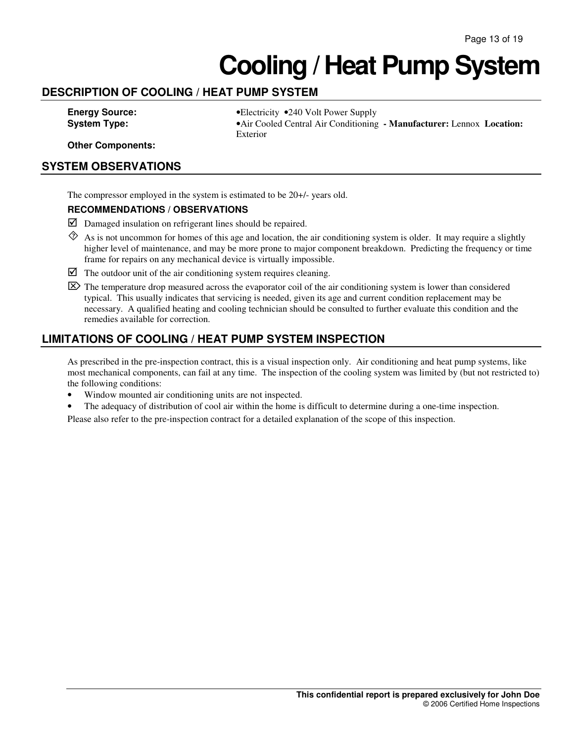# **Cooling / Heat Pump System**

## **DESCRIPTION OF COOLING / HEAT PUMP SYSTEM**

**Energy Source:** •**Electricity** •240 Volt Power Supply **System Type:** •Air Cooled Central Air Conditioning **- Manufacturer:** Lennox **Location:**  Exterior

**Other Components:**

## **SYSTEM OBSERVATIONS**

The compressor employed in the system is estimated to be 20+/- years old.

### **RECOMMENDATIONS / OBSERVATIONS**

- Damaged insulation on refrigerant lines should be repaired.
- $\Diamond$  As is not uncommon for homes of this age and location, the air conditioning system is older. It may require a slightly higher level of maintenance, and may be more prone to major component breakdown. Predicting the frequency or time frame for repairs on any mechanical device is virtually impossible.
- $\triangledown$  The outdoor unit of the air conditioning system requires cleaning.

 $\mathbb{Z}$  The temperature drop measured across the evaporator coil of the air conditioning system is lower than considered typical. This usually indicates that servicing is needed, given its age and current condition replacement may be necessary. A qualified heating and cooling technician should be consulted to further evaluate this condition and the remedies available for correction.

## **LIMITATIONS OF COOLING / HEAT PUMP SYSTEM INSPECTION**

As prescribed in the pre-inspection contract, this is a visual inspection only. Air conditioning and heat pump systems, like most mechanical components, can fail at any time. The inspection of the cooling system was limited by (but not restricted to) the following conditions:

- Window mounted air conditioning units are not inspected.
- The adequacy of distribution of cool air within the home is difficult to determine during a one-time inspection.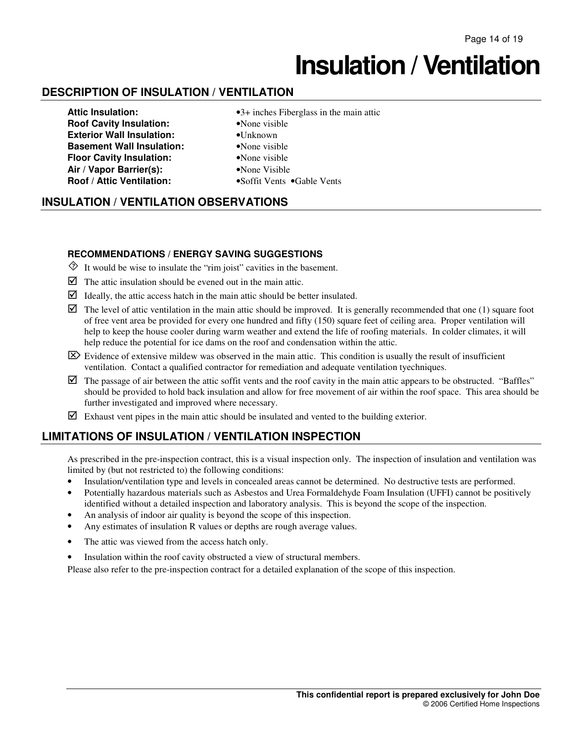# **Insulation / Ventilation**

## **DESCRIPTION OF INSULATION / VENTILATION**

- **Roof Cavity Insulation:** •None visible **Exterior Wall Insulation:** •Unknown **Basement Wall Insulation:** •None visible **Floor Cavity Insulation:** •None visible Air / Vapor Barrier(s): • • • • None Visible **Roof / Attic Ventilation:** • • • • • • • • • • • • • • Gable Vents
- **Attic Insulation:** •3+ inches Fiberglass in the main attic
	-
	- -
		-
	-
	-

## **INSULATION / VENTILATION OBSERVATIONS**

#### **RECOMMENDATIONS / ENERGY SAVING SUGGESTIONS**

- $\Diamond$  It would be wise to insulate the "rim joist" cavities in the basement.
- $\triangleright$  The attic insulation should be evened out in the main attic.
- $\triangleright$  Ideally, the attic access hatch in the main attic should be better insulated.
- $\triangledown$  The level of attic ventilation in the main attic should be improved. It is generally recommended that one (1) square foot of free vent area be provided for every one hundred and fifty (150) square feet of ceiling area. Proper ventilation will help to keep the house cooler during warm weather and extend the life of roofing materials. In colder climates, it will help reduce the potential for ice dams on the roof and condensation within the attic.
- $\boxtimes$  Evidence of extensive mildew was observed in the main attic. This condition is usually the result of insufficient ventilation. Contact a qualified contractor for remediation and adequate ventilation tyechniques.
- $\triangledown$  The passage of air between the attic soffit vents and the roof cavity in the main attic appears to be obstructed. "Baffles" should be provided to hold back insulation and allow for free movement of air within the roof space. This area should be further investigated and improved where necessary.
- $\boxtimes$  Exhaust vent pipes in the main attic should be insulated and vented to the building exterior.

## **LIMITATIONS OF INSULATION / VENTILATION INSPECTION**

As prescribed in the pre-inspection contract, this is a visual inspection only. The inspection of insulation and ventilation was limited by (but not restricted to) the following conditions:

- Insulation/ventilation type and levels in concealed areas cannot be determined. No destructive tests are performed.
- Potentially hazardous materials such as Asbestos and Urea Formaldehyde Foam Insulation (UFFI) cannot be positively identified without a detailed inspection and laboratory analysis. This is beyond the scope of the inspection.
- An analysis of indoor air quality is beyond the scope of this inspection.
- Any estimates of insulation R values or depths are rough average values.
- The attic was viewed from the access hatch only.
- Insulation within the roof cavity obstructed a view of structural members.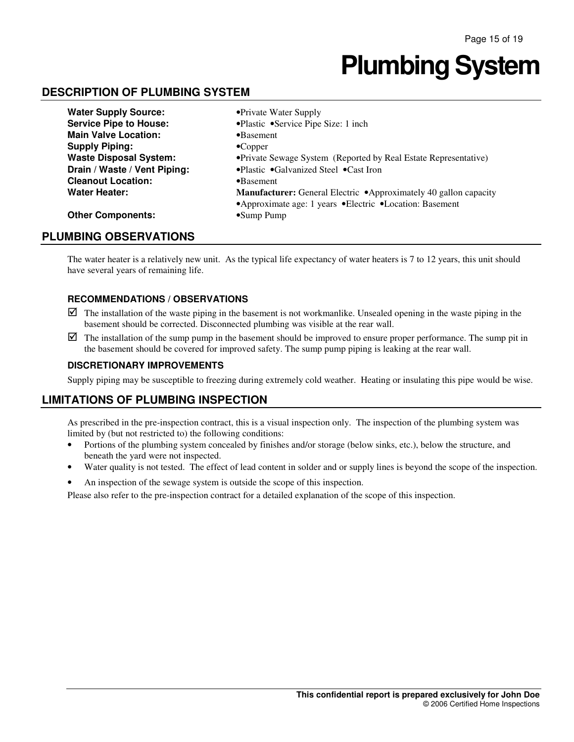# **Plumbing System**

## **DESCRIPTION OF PLUMBING SYSTEM**

| <b>Water Supply Source:</b>   | • Private Water Supply                                                  |
|-------------------------------|-------------------------------------------------------------------------|
| <b>Service Pipe to House:</b> | •Plastic •Service Pipe Size: 1 inch                                     |
| <b>Main Valve Location:</b>   | $\bullet$ Basement                                                      |
| <b>Supply Piping:</b>         | $\bullet$ Copper                                                        |
| <b>Waste Disposal System:</b> | • Private Sewage System (Reported by Real Estate Representative)        |
| Drain / Waste / Vent Piping:  | •Plastic •Galvanized Steel •Cast Iron                                   |
| <b>Cleanout Location:</b>     | $\bullet$ Basement                                                      |
| <b>Water Heater:</b>          | <b>Manufacturer:</b> General Electric •Approximately 40 gallon capacity |
|                               | •Approximate age: 1 years •Electric •Location: Basement                 |
| <b>Other Components:</b>      | $\bullet$ Sump Pump                                                     |

## **PLUMBING OBSERVATIONS**

The water heater is a relatively new unit. As the typical life expectancy of water heaters is 7 to 12 years, this unit should have several years of remaining life.

### **RECOMMENDATIONS / OBSERVATIONS**

- $\triangledown$  The installation of the waste piping in the basement is not workmanlike. Unsealed opening in the waste piping in the basement should be corrected. Disconnected plumbing was visible at the rear wall.
- $\triangleright$  The installation of the sump pump in the basement should be improved to ensure proper performance. The sump pit in the basement should be covered for improved safety. The sump pump piping is leaking at the rear wall.

#### **DISCRETIONARY IMPROVEMENTS**

Supply piping may be susceptible to freezing during extremely cold weather. Heating or insulating this pipe would be wise.

## **LIMITATIONS OF PLUMBING INSPECTION**

As prescribed in the pre-inspection contract, this is a visual inspection only. The inspection of the plumbing system was limited by (but not restricted to) the following conditions:

- Portions of the plumbing system concealed by finishes and/or storage (below sinks, etc.), below the structure, and beneath the yard were not inspected.
- Water quality is not tested. The effect of lead content in solder and or supply lines is beyond the scope of the inspection.
- An inspection of the sewage system is outside the scope of this inspection.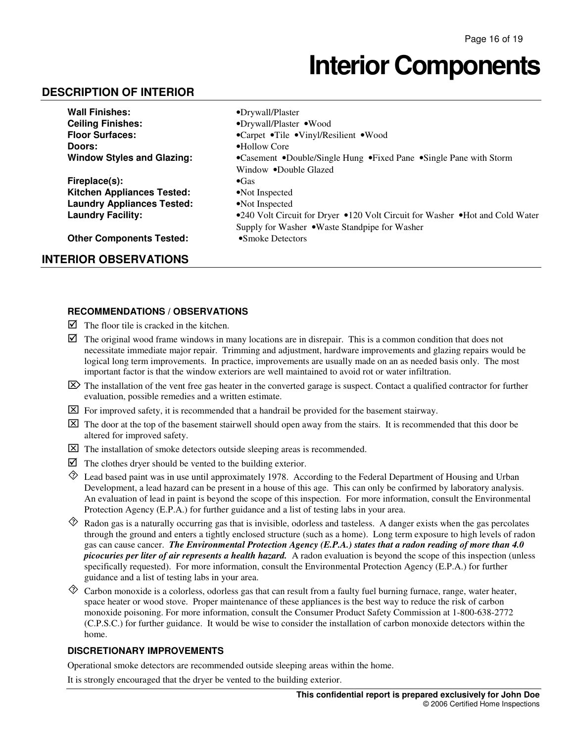# **Interior Components**

## **DESCRIPTION OF INTERIOR**

| <b>Wall Finishes:</b>             | •Drywall/Plaster                                                             |
|-----------------------------------|------------------------------------------------------------------------------|
| <b>Ceiling Finishes:</b>          | •Drywall/Plaster •Wood                                                       |
| <b>Floor Surfaces:</b>            | •Carpet • Tile • Vinyl/Resilient • Wood                                      |
| Doors:                            | $\bullet$ Hollow Core                                                        |
| <b>Window Styles and Glazing:</b> | •Casement •Double/Single Hung •Fixed Pane •Single Pane with Storm            |
|                                   | Window •Double Glazed                                                        |
| Fireplace(s):                     | $\bullet$ Gas                                                                |
| <b>Kitchen Appliances Tested:</b> | •Not Inspected                                                               |
| <b>Laundry Appliances Tested:</b> | •Not Inspected                                                               |
| <b>Laundry Facility:</b>          | •240 Volt Circuit for Dryer •120 Volt Circuit for Washer •Hot and Cold Water |
|                                   | Supply for Washer ●Waste Standpipe for Washer                                |
| <b>Other Components Tested:</b>   | •Smoke Detectors                                                             |
| <b>INTERIOR OBSERVATIONS</b>      |                                                                              |

#### **RECOMMENDATIONS / OBSERVATIONS**

- $\triangleright$  The floor tile is cracked in the kitchen.
- $\boxtimes$  The original wood frame windows in many locations are in disrepair. This is a common condition that does not necessitate immediate major repair. Trimming and adjustment, hardware improvements and glazing repairs would be logical long term improvements. In practice, improvements are usually made on an as needed basis only. The most important factor is that the window exteriors are well maintained to avoid rot or water infiltration.
- $\mathbb{Z}$  The installation of the vent free gas heater in the converted garage is suspect. Contact a qualified contractor for further evaluation, possible remedies and a written estimate.
- $\boxtimes$  For improved safety, it is recommended that a handrail be provided for the basement stairway.
- $\boxtimes$  The door at the top of the basement stairwell should open away from the stairs. It is recommended that this door be altered for improved safety.
- ⌧ The installation of smoke detectors outside sleeping areas is recommended.
- $\triangleright$  The clothes dryer should be vented to the building exterior.
- Lead based paint was in use until approximately 1978. According to the Federal Department of Housing and Urban Development, a lead hazard can be present in a house of this age. This can only be confirmed by laboratory analysis. An evaluation of lead in paint is beyond the scope of this inspection. For more information, consult the Environmental Protection Agency (E.P.A.) for further guidance and a list of testing labs in your area.
- $\otimes$  Radon gas is a naturally occurring gas that is invisible, odorless and tasteless. A danger exists when the gas percolates through the ground and enters a tightly enclosed structure (such as a home). Long term exposure to high levels of radon gas can cause cancer. *The Environmental Protection Agency (E.P.A.) states that a radon reading of more than 4.0 picocuries per liter of air represents a health hazard.* A radon evaluation is beyond the scope of this inspection (unless specifically requested). For more information, consult the Environmental Protection Agency (E.P.A.) for further guidance and a list of testing labs in your area.
- $\Diamond$  Carbon monoxide is a colorless, odorless gas that can result from a faulty fuel burning furnace, range, water heater, space heater or wood stove. Proper maintenance of these appliances is the best way to reduce the risk of carbon monoxide poisoning. For more information, consult the Consumer Product Safety Commission at 1-800-638-2772 (C.P.S.C.) for further guidance. It would be wise to consider the installation of carbon monoxide detectors within the home.

#### **DISCRETIONARY IMPROVEMENTS**

Operational smoke detectors are recommended outside sleeping areas within the home.

It is strongly encouraged that the dryer be vented to the building exterior.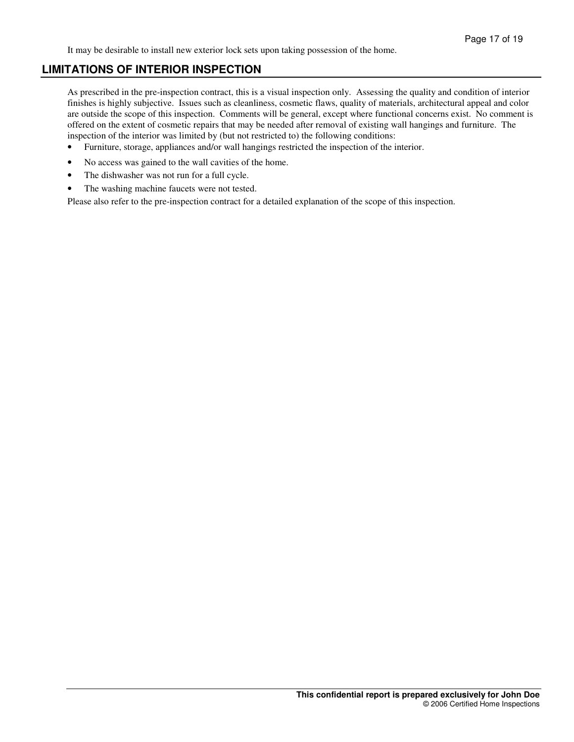## **LIMITATIONS OF INTERIOR INSPECTION**

As prescribed in the pre-inspection contract, this is a visual inspection only. Assessing the quality and condition of interior finishes is highly subjective. Issues such as cleanliness, cosmetic flaws, quality of materials, architectural appeal and color are outside the scope of this inspection. Comments will be general, except where functional concerns exist. No comment is offered on the extent of cosmetic repairs that may be needed after removal of existing wall hangings and furniture. The inspection of the interior was limited by (but not restricted to) the following conditions:

- Furniture, storage, appliances and/or wall hangings restricted the inspection of the interior.
- No access was gained to the wall cavities of the home.
- The dishwasher was not run for a full cycle.
- The washing machine faucets were not tested.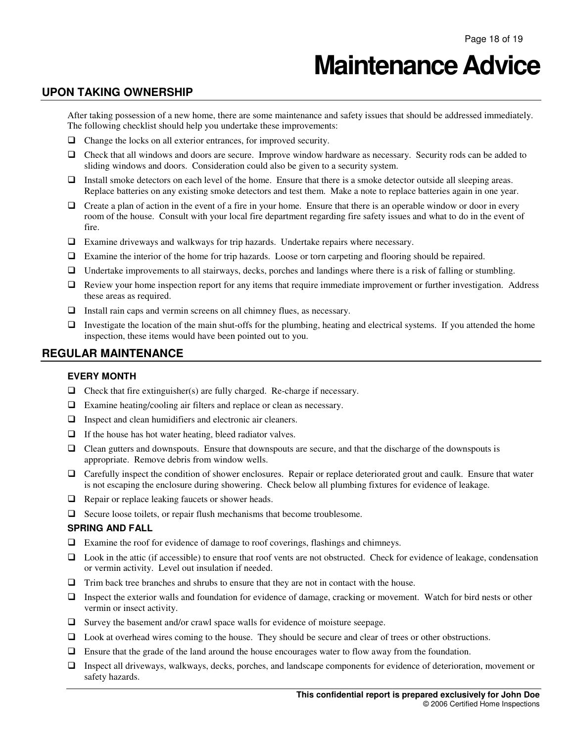# **Maintenance Advice**

### **UPON TAKING OWNERSHIP**

After taking possession of a new home, there are some maintenance and safety issues that should be addressed immediately. The following checklist should help you undertake these improvements:

- $\Box$  Change the locks on all exterior entrances, for improved security.
- Check that all windows and doors are secure. Improve window hardware as necessary. Security rods can be added to sliding windows and doors. Consideration could also be given to a security system.
- $\Box$  Install smoke detectors on each level of the home. Ensure that there is a smoke detector outside all sleeping areas. Replace batteries on any existing smoke detectors and test them. Make a note to replace batteries again in one year.
- $\Box$  Create a plan of action in the event of a fire in your home. Ensure that there is an operable window or door in every room of the house. Consult with your local fire department regarding fire safety issues and what to do in the event of fire.
- Examine driveways and walkways for trip hazards. Undertake repairs where necessary.
- Examine the interior of the home for trip hazards. Loose or torn carpeting and flooring should be repaired.
- Undertake improvements to all stairways, decks, porches and landings where there is a risk of falling or stumbling.
- $\Box$  Review your home inspection report for any items that require immediate improvement or further investigation. Address these areas as required.
- $\Box$  Install rain caps and vermin screens on all chimney flues, as necessary.
- Investigate the location of the main shut-offs for the plumbing, heating and electrical systems. If you attended the home inspection, these items would have been pointed out to you.

## **REGULAR MAINTENANCE**

#### **EVERY MONTH**

- $\Box$  Check that fire extinguisher(s) are fully charged. Re-charge if necessary.
- Examine heating/cooling air filters and replace or clean as necessary.
- Inspect and clean humidifiers and electronic air cleaners.
- $\Box$  If the house has hot water heating, bleed radiator valves.
- Clean gutters and downspouts. Ensure that downspouts are secure, and that the discharge of the downspouts is appropriate. Remove debris from window wells.
- Carefully inspect the condition of shower enclosures. Repair or replace deteriorated grout and caulk. Ensure that water is not escaping the enclosure during showering. Check below all plumbing fixtures for evidence of leakage.
- $\Box$  Repair or replace leaking faucets or shower heads.
- $\Box$  Secure loose toilets, or repair flush mechanisms that become troublesome.

#### **SPRING AND FALL**

- Examine the roof for evidence of damage to roof coverings, flashings and chimneys.
- $\Box$  Look in the attic (if accessible) to ensure that roof vents are not obstructed. Check for evidence of leakage, condensation or vermin activity. Level out insulation if needed.
- $\Box$  Trim back tree branches and shrubs to ensure that they are not in contact with the house.
- Inspect the exterior walls and foundation for evidence of damage, cracking or movement. Watch for bird nests or other vermin or insect activity.
- $\Box$  Survey the basement and/or crawl space walls for evidence of moisture seepage.
- □ Look at overhead wires coming to the house. They should be secure and clear of trees or other obstructions.
- Ensure that the grade of the land around the house encourages water to flow away from the foundation.
- Inspect all driveways, walkways, decks, porches, and landscape components for evidence of deterioration, movement or safety hazards.